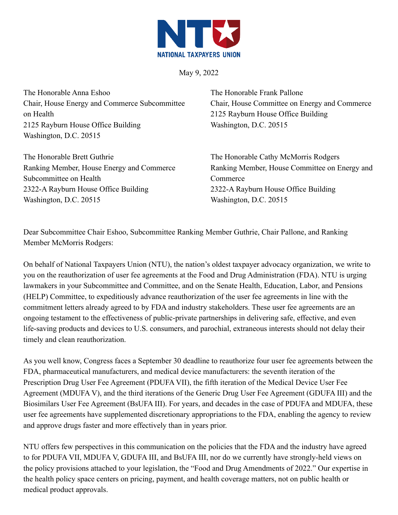

May 9, 2022

The Honorable Anna Eshoo Chair, House Energy and Commerce Subcommittee on Health 2125 Rayburn House Office Building Washington, D.C. 20515

2322-A Rayburn House Office Building

Washington, D.C. 20515

The Honorable Brett Guthrie Ranking Member, House Energy and Commerce Subcommittee on Health

The Honorable Frank Pallone Chair, House Committee on Energy and Commerce 2125 Rayburn House Office Building Washington, D.C. 20515

The Honorable Cathy McMorris Rodgers Ranking Member, House Committee on Energy and **Commerce** 2322-A Rayburn House Office Building Washington, D.C. 20515

Dear Subcommittee Chair Eshoo, Subcommittee Ranking Member Guthrie, Chair Pallone, and Ranking Member McMorris Rodgers:

On behalf of National Taxpayers Union (NTU), the nation's oldest taxpayer advocacy organization, we write to you on the reauthorization of user fee agreements at the Food and Drug Administration (FDA). NTU is urging lawmakers in your Subcommittee and Committee, and on the Senate Health, Education, Labor, and Pensions (HELP) Committee, to expeditiously advance reauthorization of the user fee agreements in line with the commitment letters already agreed to by FDA and industry stakeholders. These user fee agreements are an ongoing testament to the effectiveness of public-private partnerships in delivering safe, effective, and even life-saving products and devices to U.S. consumers, and parochial, extraneous interests should not delay their timely and clean reauthorization.

As you well know, Congress faces a September 30 deadline to reauthorize four user fee agreements between the FDA, pharmaceutical manufacturers, and medical device manufacturers: the seventh iteration of the Prescription Drug User Fee Agreement (PDUFA VII), the fifth iteration of the Medical Device User Fee Agreement (MDUFA V), and the third iterations of the Generic Drug User Fee Agreement (GDUFA III) and the Biosimilars User Fee Agreement (BsUFA III). For years, and decades in the case of PDUFA and MDUFA, these user fee agreements have supplemented discretionary appropriations to the FDA, enabling the agency to review and approve drugs faster and more effectively than in years prior.

NTU offers few perspectives in this communication on the policies that the FDA and the industry have agreed to for PDUFA VII, MDUFA V, GDUFA III, and BsUFA III, nor do we currently have strongly-held views on the policy provisions attached to your legislation, the "Food and Drug Amendments of 2022." Our expertise in the health policy space centers on pricing, payment, and health coverage matters, not on public health or medical product approvals.